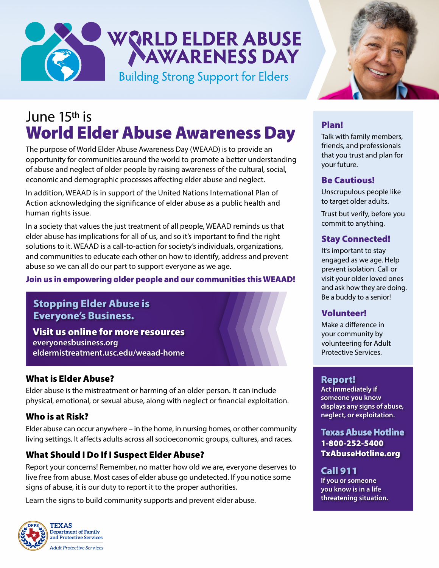# WORLD ELDER ABUSE **Building Strong Support for Elders**

## June 15**th** is World Elder Abuse Awareness Day

The purpose of World Elder Abuse Awareness Day (WEAAD) is to provide an opportunity for communities around the world to promote a better understanding of abuse and neglect of older people by raising awareness of the cultural, social, economic and demographic processes affecting elder abuse and neglect.

In addition, WEAAD is in support of the United Nations International Plan of Action acknowledging the significance of elder abuse as a public health and human rights issue.

In a society that values the just treatment of all people, WEAAD reminds us that elder abuse has implications for all of us, and so it's important to find the right solutions to it. WEAAD is a call-to-action for society's individuals, organizations, and communities to educate each other on how to identify, address and prevent abuse so we can all do our part to support everyone as we age.

### Join us in empowering older people and our communities this WEAAD!

### Stopping Elder Abuse is Everyone's Business.

Visit us online for more resources **everyonesbusiness.org eldermistreatment.usc.edu/weaad-home**

### What is Elder Abuse?

Elder abuse is the mistreatment or harming of an older person. It can include physical, emotional, or sexual abuse, along with neglect or financial exploitation.

### Who is at Risk?

Elder abuse can occur anywhere – in the home, in nursing homes, or other community living settings. It affects adults across all socioeconomic groups, cultures, and races.

### What Should I Do If I Suspect Elder Abuse?

Report your concerns! Remember, no matter how old we are, everyone deserves to live free from abuse. Most cases of elder abuse go undetected. If you notice some signs of abuse, it is our duty to report it to the proper authorities.

Learn the signs to build community supports and prevent elder abuse.





### Plan!

Talk with family members, friends, and professionals that you trust and plan for your future.

### Be Cautious!

Unscrupulous people like to target older adults.

Trust but verify, before you commit to anything.

### Stay Connected!

It's important to stay engaged as we age. Help prevent isolation. Call or visit your older loved ones and ask how they are doing. Be a buddy to a senior!

### Volunteer!

Make a difference in your community by volunteering for Adult Protective Services.

### Report!

**Act immediately if someone you know displays any signs of abuse, neglect, or exploitation.** 

Texas Abuse Hotline 1-800-252-5400 TxAbuseHotline.org

### Call 911

**If you or someone you know is in a life threatening situation.**